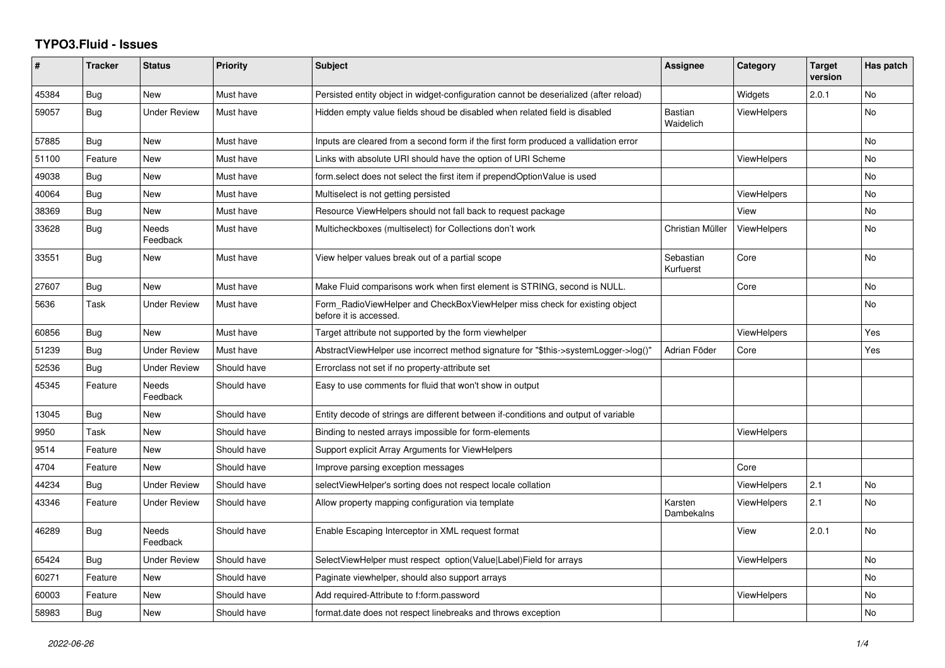## **TYPO3.Fluid - Issues**

| #     | <b>Tracker</b> | <b>Status</b>            | Priority    | <b>Subject</b>                                                                                       | Assignee                    | Category           | <b>Target</b><br>version | Has patch      |
|-------|----------------|--------------------------|-------------|------------------------------------------------------------------------------------------------------|-----------------------------|--------------------|--------------------------|----------------|
| 45384 | Bug            | New                      | Must have   | Persisted entity object in widget-configuration cannot be deserialized (after reload)                |                             | Widgets            | 2.0.1                    | No             |
| 59057 | Bug            | <b>Under Review</b>      | Must have   | Hidden empty value fields shoud be disabled when related field is disabled                           | <b>Bastian</b><br>Waidelich | <b>ViewHelpers</b> |                          | N <sub>o</sub> |
| 57885 | Bug            | <b>New</b>               | Must have   | Inputs are cleared from a second form if the first form produced a vallidation error                 |                             |                    |                          | <b>No</b>      |
| 51100 | Feature        | New                      | Must have   | Links with absolute URI should have the option of URI Scheme                                         |                             | <b>ViewHelpers</b> |                          | No             |
| 49038 | Bug            | <b>New</b>               | Must have   | form select does not select the first item if prependOptionValue is used                             |                             |                    |                          | <b>No</b>      |
| 40064 | Bug            | New                      | Must have   | Multiselect is not getting persisted                                                                 |                             | <b>ViewHelpers</b> |                          | No             |
| 38369 | Bug            | New                      | Must have   | Resource ViewHelpers should not fall back to request package                                         |                             | View               |                          | No             |
| 33628 | Bug            | <b>Needs</b><br>Feedback | Must have   | Multicheckboxes (multiselect) for Collections don't work                                             | Christian Müller            | <b>ViewHelpers</b> |                          | <b>No</b>      |
| 33551 | Bug            | New                      | Must have   | View helper values break out of a partial scope                                                      | Sebastian<br>Kurfuerst      | Core               |                          | No             |
| 27607 | Bug            | New                      | Must have   | Make Fluid comparisons work when first element is STRING, second is NULL.                            |                             | Core               |                          | No             |
| 5636  | Task           | <b>Under Review</b>      | Must have   | Form_RadioViewHelper and CheckBoxViewHelper miss check for existing object<br>before it is accessed. |                             |                    |                          | <b>No</b>      |
| 60856 | Bug            | <b>New</b>               | Must have   | Target attribute not supported by the form viewhelper                                                |                             | <b>ViewHelpers</b> |                          | <b>Yes</b>     |
| 51239 | Bug            | <b>Under Review</b>      | Must have   | AbstractViewHelper use incorrect method signature for "\$this->systemLogger->log()"                  | Adrian Föder                | Core               |                          | Yes            |
| 52536 | Bug            | <b>Under Review</b>      | Should have | Errorclass not set if no property-attribute set                                                      |                             |                    |                          |                |
| 45345 | Feature        | Needs<br>Feedback        | Should have | Easy to use comments for fluid that won't show in output                                             |                             |                    |                          |                |
| 13045 | Bug            | New                      | Should have | Entity decode of strings are different between if-conditions and output of variable                  |                             |                    |                          |                |
| 9950  | Task           | <b>New</b>               | Should have | Binding to nested arrays impossible for form-elements                                                |                             | <b>ViewHelpers</b> |                          |                |
| 9514  | Feature        | <b>New</b>               | Should have | Support explicit Array Arguments for ViewHelpers                                                     |                             |                    |                          |                |
| 4704  | Feature        | New                      | Should have | Improve parsing exception messages                                                                   |                             | Core               |                          |                |
| 44234 | <b>Bug</b>     | <b>Under Review</b>      | Should have | selectViewHelper's sorting does not respect locale collation                                         |                             | <b>ViewHelpers</b> | 2.1                      | No             |
| 43346 | Feature        | <b>Under Review</b>      | Should have | Allow property mapping configuration via template                                                    | Karsten<br>Dambekalns       | <b>ViewHelpers</b> | 2.1                      | <b>No</b>      |
| 46289 | Bug            | <b>Needs</b><br>Feedback | Should have | Enable Escaping Interceptor in XML request format                                                    |                             | View               | 2.0.1                    | <b>No</b>      |
| 65424 | <b>Bug</b>     | <b>Under Review</b>      | Should have | SelectViewHelper must respect option(Value Label)Field for arrays                                    |                             | <b>ViewHelpers</b> |                          | No             |
| 60271 | Feature        | <b>New</b>               | Should have | Paginate viewhelper, should also support arrays                                                      |                             |                    |                          | <b>No</b>      |
| 60003 | Feature        | New                      | Should have | Add required-Attribute to f:form.password                                                            |                             | ViewHelpers        |                          | No             |
| 58983 | Bug            | New                      | Should have | format.date does not respect linebreaks and throws exception                                         |                             |                    |                          | No             |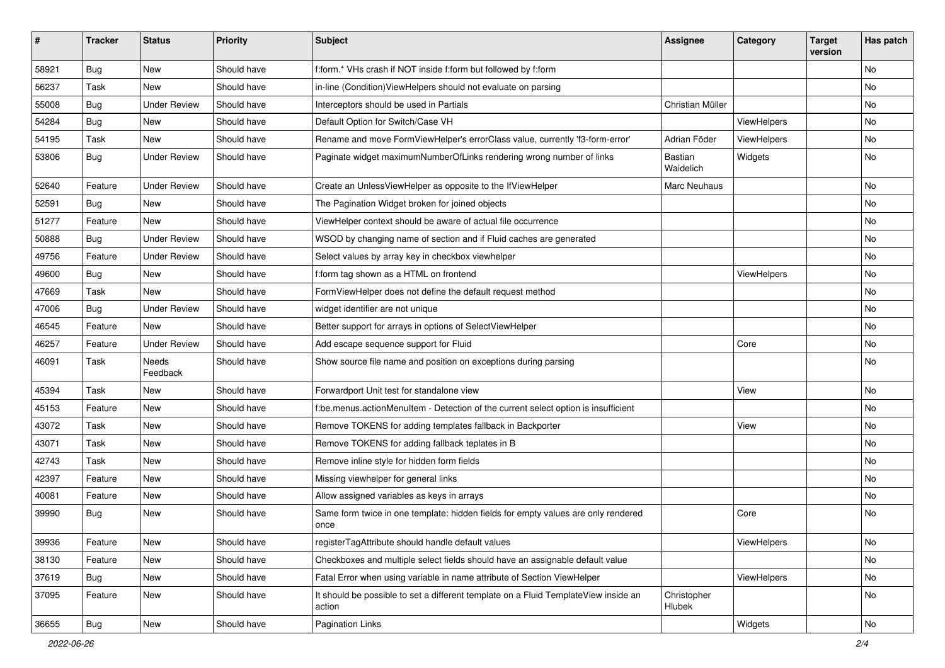| #     | <b>Tracker</b> | <b>Status</b>       | <b>Priority</b> | <b>Subject</b>                                                                                | <b>Assignee</b>       | Category    | <b>Target</b><br>version | Has patch     |
|-------|----------------|---------------------|-----------------|-----------------------------------------------------------------------------------------------|-----------------------|-------------|--------------------------|---------------|
| 58921 | Bug            | New                 | Should have     | f:form.* VHs crash if NOT inside f:form but followed by f:form                                |                       |             |                          | <b>No</b>     |
| 56237 | Task           | New                 | Should have     | in-line (Condition) View Helpers should not evaluate on parsing                               |                       |             |                          | No            |
| 55008 | Bug            | <b>Under Review</b> | Should have     | Interceptors should be used in Partials                                                       | Christian Müller      |             |                          | No            |
| 54284 | Bug            | New                 | Should have     | Default Option for Switch/Case VH                                                             |                       | ViewHelpers |                          | No            |
| 54195 | Task           | New                 | Should have     | Rename and move FormViewHelper's errorClass value, currently 'f3-form-error'                  | Adrian Föder          | ViewHelpers |                          | No            |
| 53806 | Bug            | <b>Under Review</b> | Should have     | Paginate widget maximumNumberOfLinks rendering wrong number of links                          | Bastian<br>Waidelich  | Widgets     |                          | No            |
| 52640 | Feature        | <b>Under Review</b> | Should have     | Create an UnlessViewHelper as opposite to the IfViewHelper                                    | Marc Neuhaus          |             |                          | <b>No</b>     |
| 52591 | Bug            | New                 | Should have     | The Pagination Widget broken for joined objects                                               |                       |             |                          | No            |
| 51277 | Feature        | <b>New</b>          | Should have     | ViewHelper context should be aware of actual file occurrence                                  |                       |             |                          | No            |
| 50888 | Bug            | <b>Under Review</b> | Should have     | WSOD by changing name of section and if Fluid caches are generated                            |                       |             |                          | No            |
| 49756 | Feature        | <b>Under Review</b> | Should have     | Select values by array key in checkbox viewhelper                                             |                       |             |                          | No            |
| 49600 | Bug            | New                 | Should have     | f:form tag shown as a HTML on frontend                                                        |                       | ViewHelpers |                          | No            |
| 47669 | Task           | New                 | Should have     | FormViewHelper does not define the default request method                                     |                       |             |                          | No            |
| 47006 | Bug            | <b>Under Review</b> | Should have     | widget identifier are not unique                                                              |                       |             |                          | No            |
| 46545 | Feature        | New                 | Should have     | Better support for arrays in options of SelectViewHelper                                      |                       |             |                          | No            |
| 46257 | Feature        | <b>Under Review</b> | Should have     | Add escape sequence support for Fluid                                                         |                       | Core        |                          | No            |
| 46091 | Task           | Needs<br>Feedback   | Should have     | Show source file name and position on exceptions during parsing                               |                       |             |                          | <b>No</b>     |
| 45394 | Task           | New                 | Should have     | Forwardport Unit test for standalone view                                                     |                       | View        |                          | No            |
| 45153 | Feature        | <b>New</b>          | Should have     | f:be.menus.actionMenuItem - Detection of the current select option is insufficient            |                       |             |                          | No            |
| 43072 | Task           | New                 | Should have     | Remove TOKENS for adding templates fallback in Backporter                                     |                       | View        |                          | No            |
| 43071 | Task           | New                 | Should have     | Remove TOKENS for adding fallback teplates in B                                               |                       |             |                          | No            |
| 42743 | Task           | New                 | Should have     | Remove inline style for hidden form fields                                                    |                       |             |                          | No            |
| 42397 | Feature        | New                 | Should have     | Missing viewhelper for general links                                                          |                       |             |                          | No            |
| 40081 | Feature        | New                 | Should have     | Allow assigned variables as keys in arrays                                                    |                       |             |                          | No            |
| 39990 | Bug            | New                 | Should have     | Same form twice in one template: hidden fields for empty values are only rendered<br>once     |                       | Core        |                          | <b>No</b>     |
| 39936 | Feature        | New                 | Should have     | registerTagAttribute should handle default values                                             |                       | ViewHelpers |                          | No            |
| 38130 | Feature        | New                 | Should have     | Checkboxes and multiple select fields should have an assignable default value                 |                       |             |                          | No            |
| 37619 | Bug            | New                 | Should have     | Fatal Error when using variable in name attribute of Section ViewHelper                       |                       | ViewHelpers |                          | No            |
| 37095 | Feature        | New                 | Should have     | It should be possible to set a different template on a Fluid TemplateView inside an<br>action | Christopher<br>Hlubek |             |                          | No            |
| 36655 | Bug            | New                 | Should have     | <b>Pagination Links</b>                                                                       |                       | Widgets     |                          | $\mathsf{No}$ |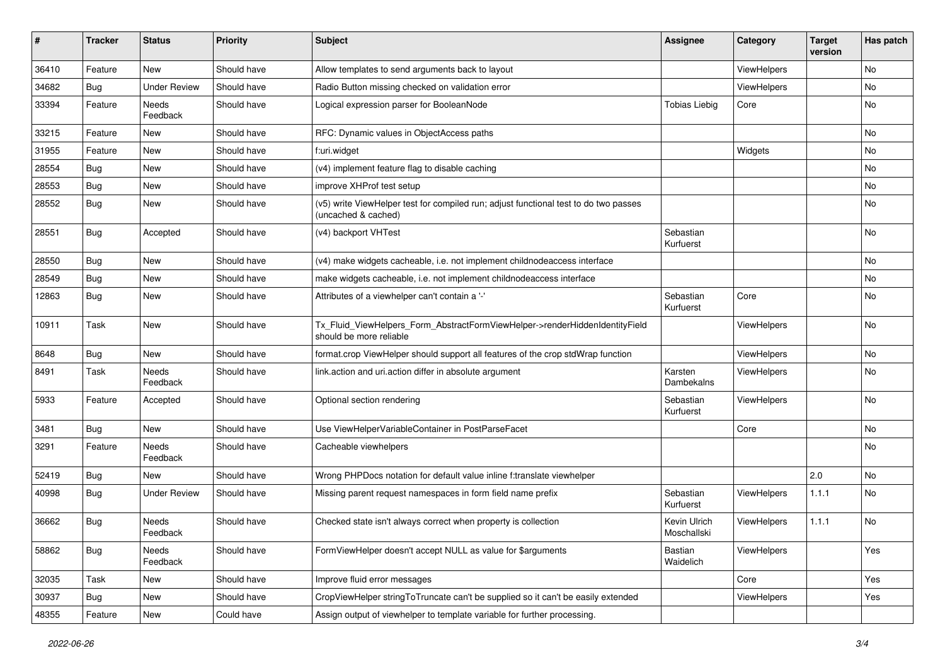| #     | <b>Tracker</b> | <b>Status</b>       | <b>Priority</b> | Subject                                                                                                     | <b>Assignee</b>             | Category    | <b>Target</b><br>version | Has patch |
|-------|----------------|---------------------|-----------------|-------------------------------------------------------------------------------------------------------------|-----------------------------|-------------|--------------------------|-----------|
| 36410 | Feature        | New                 | Should have     | Allow templates to send arguments back to layout                                                            |                             | ViewHelpers |                          | No        |
| 34682 | Bug            | <b>Under Review</b> | Should have     | Radio Button missing checked on validation error                                                            |                             | ViewHelpers |                          | No        |
| 33394 | Feature        | Needs<br>Feedback   | Should have     | Logical expression parser for BooleanNode                                                                   | <b>Tobias Liebig</b>        | Core        |                          | No        |
| 33215 | Feature        | New                 | Should have     | RFC: Dynamic values in ObjectAccess paths                                                                   |                             |             |                          | No        |
| 31955 | Feature        | New                 | Should have     | f:uri.widget                                                                                                |                             | Widgets     |                          | No        |
| 28554 | Bug            | New                 | Should have     | (v4) implement feature flag to disable caching                                                              |                             |             |                          | No        |
| 28553 | Bug            | New                 | Should have     | improve XHProf test setup                                                                                   |                             |             |                          | No        |
| 28552 | Bug            | New                 | Should have     | (v5) write ViewHelper test for compiled run; adjust functional test to do two passes<br>(uncached & cached) |                             |             |                          | No        |
| 28551 | Bug            | Accepted            | Should have     | (v4) backport VHTest                                                                                        | Sebastian<br>Kurfuerst      |             |                          | No        |
| 28550 | Bug            | New                 | Should have     | (v4) make widgets cacheable, i.e. not implement childnodeaccess interface                                   |                             |             |                          | No        |
| 28549 | Bug            | New                 | Should have     | make widgets cacheable, i.e. not implement childnodeaccess interface                                        |                             |             |                          | No        |
| 12863 | Bug            | New                 | Should have     | Attributes of a viewhelper can't contain a '-'                                                              | Sebastian<br>Kurfuerst      | Core        |                          | No        |
| 10911 | Task           | New                 | Should have     | Tx_Fluid_ViewHelpers_Form_AbstractFormViewHelper->renderHiddenIdentityField<br>should be more reliable      |                             | ViewHelpers |                          | No        |
| 8648  | Bug            | New                 | Should have     | format.crop ViewHelper should support all features of the crop stdWrap function                             |                             | ViewHelpers |                          | No        |
| 8491  | Task           | Needs<br>Feedback   | Should have     | link.action and uri.action differ in absolute argument                                                      | Karsten<br>Dambekalns       | ViewHelpers |                          | No        |
| 5933  | Feature        | Accepted            | Should have     | Optional section rendering                                                                                  | Sebastian<br>Kurfuerst      | ViewHelpers |                          | No        |
| 3481  | Bug            | New                 | Should have     | Use ViewHelperVariableContainer in PostParseFacet                                                           |                             | Core        |                          | No        |
| 3291  | Feature        | Needs<br>Feedback   | Should have     | Cacheable viewhelpers                                                                                       |                             |             |                          | No        |
| 52419 | Bug            | New                 | Should have     | Wrong PHPDocs notation for default value inline f:translate viewhelper                                      |                             |             | 2.0                      | <b>No</b> |
| 40998 | Bug            | <b>Under Review</b> | Should have     | Missing parent request namespaces in form field name prefix                                                 | Sebastian<br>Kurfuerst      | ViewHelpers | 1.1.1                    | No        |
| 36662 | Bug            | Needs<br>Feedback   | Should have     | Checked state isn't always correct when property is collection                                              | Kevin Ulrich<br>Moschallski | ViewHelpers | 1.1.1                    | No        |
| 58862 | Bug            | Needs<br>Feedback   | Should have     | FormViewHelper doesn't accept NULL as value for \$arguments                                                 | <b>Bastian</b><br>Waidelich | ViewHelpers |                          | Yes       |
| 32035 | Task           | New                 | Should have     | Improve fluid error messages                                                                                |                             | Core        |                          | Yes       |
| 30937 | Bug            | New                 | Should have     | CropViewHelper stringToTruncate can't be supplied so it can't be easily extended                            |                             | ViewHelpers |                          | Yes       |
| 48355 | Feature        | New                 | Could have      | Assign output of viewhelper to template variable for further processing.                                    |                             |             |                          |           |